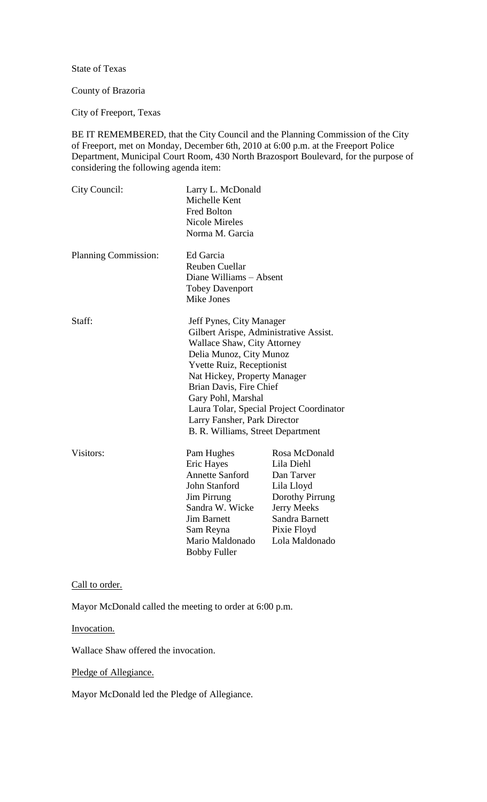State of Texas

## County of Brazoria

City of Freeport, Texas

BE IT REMEMBERED, that the City Council and the Planning Commission of the City of Freeport, met on Monday, December 6th, 2010 at 6:00 p.m. at the Freeport Police Department, Municipal Court Room, 430 North Brazosport Boulevard, for the purpose of considering the following agenda item:

| City Council:        | Larry L. McDonald<br>Michelle Kent<br><b>Fred Bolton</b><br><b>Nicole Mireles</b><br>Norma M. Garcia                                                                                                                                                                                                                                                                      |                                                                                                                                              |
|----------------------|---------------------------------------------------------------------------------------------------------------------------------------------------------------------------------------------------------------------------------------------------------------------------------------------------------------------------------------------------------------------------|----------------------------------------------------------------------------------------------------------------------------------------------|
| Planning Commission: | Ed Garcia<br><b>Reuben Cuellar</b><br>Diane Williams - Absent<br><b>Tobey Davenport</b><br>Mike Jones                                                                                                                                                                                                                                                                     |                                                                                                                                              |
| Staff:               | Jeff Pynes, City Manager<br>Gilbert Arispe, Administrative Assist.<br><b>Wallace Shaw, City Attorney</b><br>Delia Munoz, City Munoz<br><b>Yvette Ruiz, Receptionist</b><br>Nat Hickey, Property Manager<br>Brian Davis, Fire Chief<br>Gary Pohl, Marshal<br>Laura Tolar, Special Project Coordinator<br>Larry Fansher, Park Director<br>B. R. Williams, Street Department |                                                                                                                                              |
| Visitors:            | Pam Hughes<br><b>Eric Hayes</b><br><b>Annette Sanford</b><br>John Stanford<br><b>Jim Pirrung</b><br>Sandra W. Wicke<br><b>Jim Barnett</b><br>Sam Reyna<br>Mario Maldonado                                                                                                                                                                                                 | Rosa McDonald<br>Lila Diehl<br>Dan Tarver<br>Lila Lloyd<br>Dorothy Pirrung<br>Jerry Meeks<br>Sandra Barnett<br>Pixie Floyd<br>Lola Maldonado |

Call to order.

Mayor McDonald called the meeting to order at 6:00 p.m.

Bobby Fuller

Invocation.

Wallace Shaw offered the invocation.

Pledge of Allegiance.

Mayor McDonald led the Pledge of Allegiance.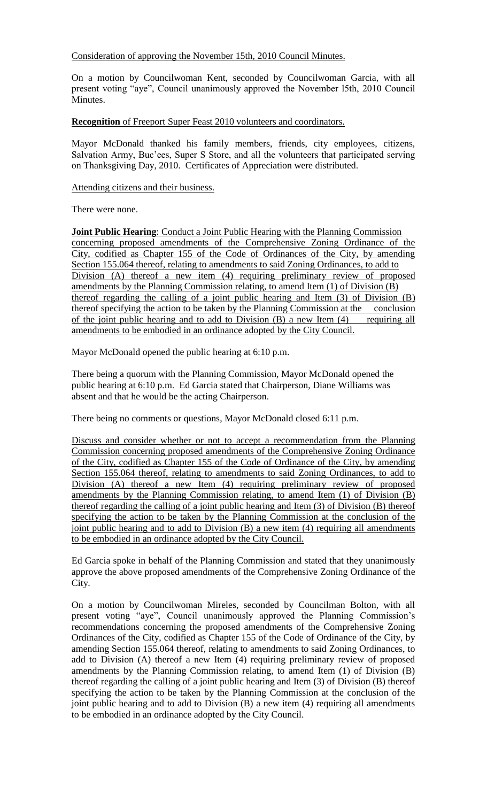Consideration of approving the November 15th, 2010 Council Minutes.

On a motion by Councilwoman Kent, seconded by Councilwoman Garcia, with all present voting "aye", Council unanimously approved the November l5th, 2010 Council Minutes.

**Recognition** of Freeport Super Feast 2010 volunteers and coordinators.

Mayor McDonald thanked his family members, friends, city employees, citizens, Salvation Army, Buc'ees, Super S Store, and all the volunteers that participated serving on Thanksgiving Day, 2010. Certificates of Appreciation were distributed.

## Attending citizens and their business.

There were none.

**Joint Public Hearing**: Conduct a Joint Public Hearing with the Planning Commission concerning proposed amendments of the Comprehensive Zoning Ordinance of the City, codified as Chapter 155 of the Code of Ordinances of the City, by amending Section 155.064 thereof, relating to amendments to said Zoning Ordinances, to add to Division (A) thereof a new item (4) requiring preliminary review of proposed amendments by the Planning Commission relating, to amend Item (1) of Division (B) thereof regarding the calling of a joint public hearing and Item (3) of Division (B) thereof specifying the action to be taken by the Planning Commission at the conclusion of the joint public hearing and to add to Division (B) a new Item (4) requiring all amendments to be embodied in an ordinance adopted by the City Council.

Mayor McDonald opened the public hearing at 6:10 p.m.

There being a quorum with the Planning Commission, Mayor McDonald opened the public hearing at 6:10 p.m. Ed Garcia stated that Chairperson, Diane Williams was absent and that he would be the acting Chairperson.

There being no comments or questions, Mayor McDonald closed 6:11 p.m.

Discuss and consider whether or not to accept a recommendation from the Planning Commission concerning proposed amendments of the Comprehensive Zoning Ordinance of the City, codified as Chapter 155 of the Code of Ordinance of the City, by amending Section 155.064 thereof, relating to amendments to said Zoning Ordinances, to add to Division (A) thereof a new Item (4) requiring preliminary review of proposed amendments by the Planning Commission relating, to amend Item (1) of Division (B) thereof regarding the calling of a joint public hearing and Item (3) of Division (B) thereof specifying the action to be taken by the Planning Commission at the conclusion of the joint public hearing and to add to Division (B) a new item (4) requiring all amendments to be embodied in an ordinance adopted by the City Council.

Ed Garcia spoke in behalf of the Planning Commission and stated that they unanimously approve the above proposed amendments of the Comprehensive Zoning Ordinance of the City.

On a motion by Councilwoman Mireles, seconded by Councilman Bolton, with all present voting "aye", Council unanimously approved the Planning Commission's recommendations concerning the proposed amendments of the Comprehensive Zoning Ordinances of the City, codified as Chapter 155 of the Code of Ordinance of the City, by amending Section 155.064 thereof, relating to amendments to said Zoning Ordinances, to add to Division (A) thereof a new Item (4) requiring preliminary review of proposed amendments by the Planning Commission relating, to amend Item (1) of Division (B) thereof regarding the calling of a joint public hearing and Item (3) of Division (B) thereof specifying the action to be taken by the Planning Commission at the conclusion of the joint public hearing and to add to Division (B) a new item (4) requiring all amendments to be embodied in an ordinance adopted by the City Council.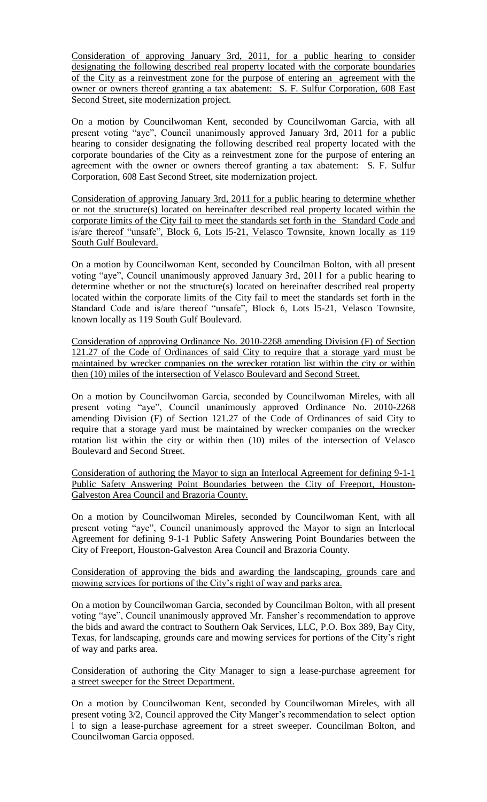Consideration of approving January 3rd, 2011, for a public hearing to consider designating the following described real property located with the corporate boundaries of the City as a reinvestment zone for the purpose of entering an agreement with the owner or owners thereof granting a tax abatement: S. F. Sulfur Corporation, 608 East Second Street, site modernization project.

On a motion by Councilwoman Kent, seconded by Councilwoman Garcia, with all present voting "aye", Council unanimously approved January 3rd, 2011 for a public hearing to consider designating the following described real property located with the corporate boundaries of the City as a reinvestment zone for the purpose of entering an agreement with the owner or owners thereof granting a tax abatement: S. F. Sulfur Corporation, 608 East Second Street, site modernization project.

Consideration of approving January 3rd, 2011 for a public hearing to determine whether or not the structure(s) located on hereinafter described real property located within the corporate limits of the City fail to meet the standards set forth in the Standard Code and is/are thereof "unsafe", Block 6, Lots l5-21, Velasco Townsite, known locally as 119 South Gulf Boulevard.

On a motion by Councilwoman Kent, seconded by Councilman Bolton, with all present voting "aye", Council unanimously approved January 3rd, 2011 for a public hearing to determine whether or not the structure(s) located on hereinafter described real property located within the corporate limits of the City fail to meet the standards set forth in the Standard Code and is/are thereof "unsafe", Block 6, Lots l5-21, Velasco Townsite, known locally as 119 South Gulf Boulevard.

Consideration of approving Ordinance No. 2010-2268 amending Division (F) of Section 121.27 of the Code of Ordinances of said City to require that a storage yard must be maintained by wrecker companies on the wrecker rotation list within the city or within then (10) miles of the intersection of Velasco Boulevard and Second Street.

On a motion by Councilwoman Garcia, seconded by Councilwoman Mireles, with all present voting "aye", Council unanimously approved Ordinance No. 2010-2268 amending Division (F) of Section 121.27 of the Code of Ordinances of said City to require that a storage yard must be maintained by wrecker companies on the wrecker rotation list within the city or within then (10) miles of the intersection of Velasco Boulevard and Second Street.

Consideration of authoring the Mayor to sign an Interlocal Agreement for defining 9-1-1 Public Safety Answering Point Boundaries between the City of Freeport, Houston-Galveston Area Council and Brazoria County.

On a motion by Councilwoman Mireles, seconded by Councilwoman Kent, with all present voting "aye", Council unanimously approved the Mayor to sign an Interlocal Agreement for defining 9-1-1 Public Safety Answering Point Boundaries between the City of Freeport, Houston-Galveston Area Council and Brazoria County.

## Consideration of approving the bids and awarding the landscaping, grounds care and mowing services for portions of the City's right of way and parks area.

On a motion by Councilwoman Garcia, seconded by Councilman Bolton, with all present voting "aye", Council unanimously approved Mr. Fansher's recommendation to approve the bids and award the contract to Southern Oak Services, LLC, P.O. Box 389, Bay City, Texas, for landscaping, grounds care and mowing services for portions of the City's right of way and parks area.

Consideration of authoring the City Manager to sign a lease-purchase agreement for a street sweeper for the Street Department.

On a motion by Councilwoman Kent, seconded by Councilwoman Mireles, with all present voting 3/2, Council approved the City Manger's recommendation to select option l to sign a lease-purchase agreement for a street sweeper. Councilman Bolton, and Councilwoman Garcia opposed.